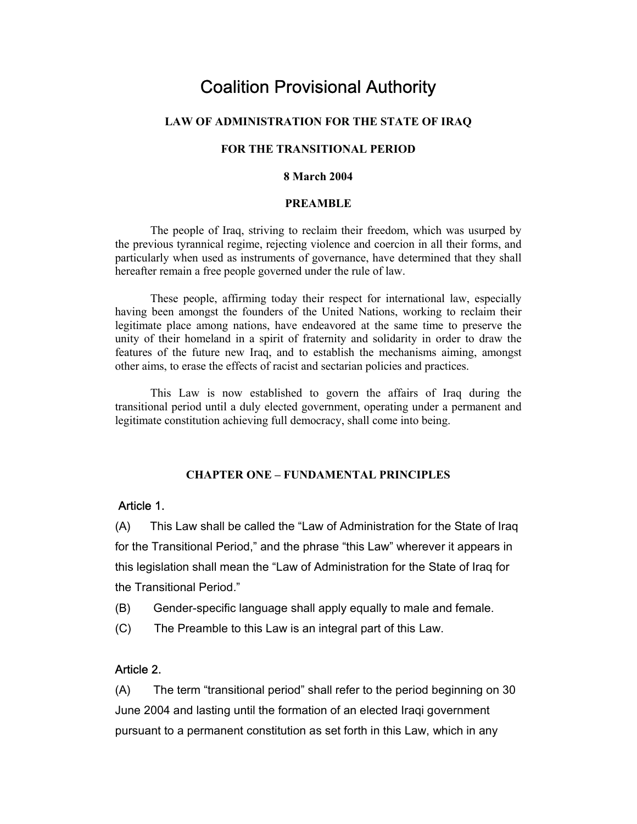# Coalition Provisional Authority

#### **LAW OF ADMINISTRATION FOR THE STATE OF IRAQ**

#### **FOR THE TRANSITIONAL PERIOD**

#### **8 March 2004**

#### **PREAMBLE**

The people of Iraq, striving to reclaim their freedom, which was usurped by the previous tyrannical regime, rejecting violence and coercion in all their forms, and particularly when used as instruments of governance, have determined that they shall hereafter remain a free people governed under the rule of law.

These people, affirming today their respect for international law, especially having been amongst the founders of the United Nations, working to reclaim their legitimate place among nations, have endeavored at the same time to preserve the unity of their homeland in a spirit of fraternity and solidarity in order to draw the features of the future new Iraq, and to establish the mechanisms aiming, amongst other aims, to erase the effects of racist and sectarian policies and practices.

This Law is now established to govern the affairs of Iraq during the transitional period until a duly elected government, operating under a permanent and legitimate constitution achieving full democracy, shall come into being.

#### **CHAPTER ONE – FUNDAMENTAL PRINCIPLES**

#### Article 1.

(A) This Law shall be called the "Law of Administration for the State of Iraq for the Transitional Period," and the phrase "this Law" wherever it appears in this legislation shall mean the "Law of Administration for the State of Iraq for the Transitional Period."

- (B) Gender-specific language shall apply equally to male and female.
- (C) The Preamble to this Law is an integral part of this Law.

# Article 2.

(A) The term "transitional period" shall refer to the period beginning on 30 June 2004 and lasting until the formation of an elected Iraqi government pursuant to a permanent constitution as set forth in this Law, which in any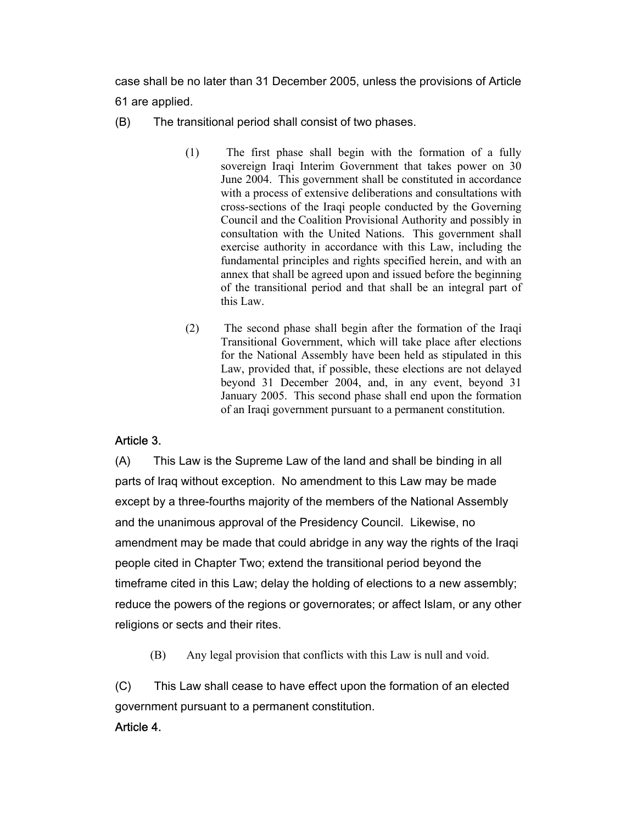case shall be no later than 31 December 2005, unless the provisions of Article 61 are applied.

- (B) The transitional period shall consist of two phases.
	- (1) The first phase shall begin with the formation of a fully sovereign Iraqi Interim Government that takes power on 30 June 2004. This government shall be constituted in accordance with a process of extensive deliberations and consultations with cross-sections of the Iraqi people conducted by the Governing Council and the Coalition Provisional Authority and possibly in consultation with the United Nations. This government shall exercise authority in accordance with this Law, including the fundamental principles and rights specified herein, and with an annex that shall be agreed upon and issued before the beginning of the transitional period and that shall be an integral part of this Law.
	- (2) The second phase shall begin after the formation of the Iraqi Transitional Government, which will take place after elections for the National Assembly have been held as stipulated in this Law, provided that, if possible, these elections are not delayed beyond 31 December 2004, and, in any event, beyond 31 January 2005. This second phase shall end upon the formation of an Iraqi government pursuant to a permanent constitution.

# Article 3.

(A) This Law is the Supreme Law of the land and shall be binding in all parts of Iraq without exception. No amendment to this Law may be made except by a three-fourths majority of the members of the National Assembly and the unanimous approval of the Presidency Council. Likewise, no amendment may be made that could abridge in any way the rights of the Iraqi people cited in Chapter Two; extend the transitional period beyond the timeframe cited in this Law; delay the holding of elections to a new assembly; reduce the powers of the regions or governorates; or affect Islam, or any other religions or sects and their rites.

(B) Any legal provision that conflicts with this Law is null and void.

(C) This Law shall cease to have effect upon the formation of an elected government pursuant to a permanent constitution.

# Article 4.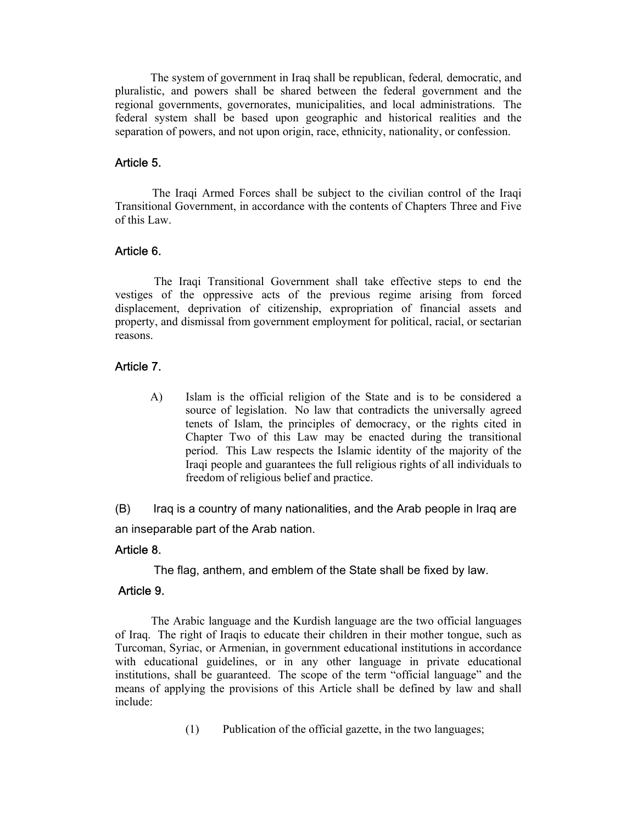The system of government in Iraq shall be republican, federal*,* democratic, and pluralistic, and powers shall be shared between the federal government and the regional governments, governorates, municipalities, and local administrations. The federal system shall be based upon geographic and historical realities and the separation of powers, and not upon origin, race, ethnicity, nationality, or confession.

#### Article 5.

 The Iraqi Armed Forces shall be subject to the civilian control of the Iraqi Transitional Government, in accordance with the contents of Chapters Three and Five of this Law.

# Article 6.

 The Iraqi Transitional Government shall take effective steps to end the vestiges of the oppressive acts of the previous regime arising from forced displacement, deprivation of citizenship, expropriation of financial assets and property, and dismissal from government employment for political, racial, or sectarian reasons.

# Article 7.

A) Islam is the official religion of the State and is to be considered a source of legislation. No law that contradicts the universally agreed tenets of Islam, the principles of democracy, or the rights cited in Chapter Two of this Law may be enacted during the transitional period. This Law respects the Islamic identity of the majority of the Iraqi people and guarantees the full religious rights of all individuals to freedom of religious belief and practice.

(B) Iraq is a country of many nationalities, and the Arab people in Iraq are an inseparable part of the Arab nation.

#### Article 8.

The flag, anthem, and emblem of the State shall be fixed by law.

#### Article 9.

 The Arabic language and the Kurdish language are the two official languages of Iraq. The right of Iraqis to educate their children in their mother tongue, such as Turcoman, Syriac, or Armenian, in government educational institutions in accordance with educational guidelines, or in any other language in private educational institutions, shall be guaranteed. The scope of the term "official language" and the means of applying the provisions of this Article shall be defined by law and shall include:

(1) Publication of the official gazette, in the two languages;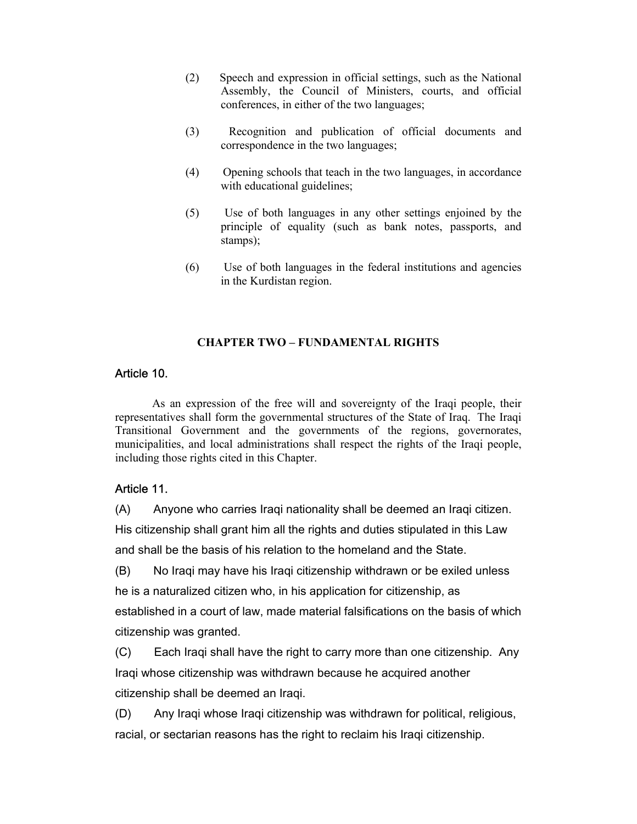- (2) Speech and expression in official settings, such as the National Assembly, the Council of Ministers, courts, and official conferences, in either of the two languages;
- (3) Recognition and publication of official documents and correspondence in the two languages;
- (4) Opening schools that teach in the two languages, in accordance with educational guidelines;
- (5) Use of both languages in any other settings enjoined by the principle of equality (such as bank notes, passports, and stamps);
- (6) Use of both languages in the federal institutions and agencies in the Kurdistan region.

# **CHAPTER TWO – FUNDAMENTAL RIGHTS**

# Article 10.

 As an expression of the free will and sovereignty of the Iraqi people, their representatives shall form the governmental structures of the State of Iraq. The Iraqi Transitional Government and the governments of the regions, governorates, municipalities, and local administrations shall respect the rights of the Iraqi people, including those rights cited in this Chapter.

# Article 11.

(A) Anyone who carries Iraqi nationality shall be deemed an Iraqi citizen. His citizenship shall grant him all the rights and duties stipulated in this Law and shall be the basis of his relation to the homeland and the State.

(B) No Iraqi may have his Iraqi citizenship withdrawn or be exiled unless he is a naturalized citizen who, in his application for citizenship, as established in a court of law, made material falsifications on the basis of which citizenship was granted.

(C) Each Iraqi shall have the right to carry more than one citizenship. Any Iraqi whose citizenship was withdrawn because he acquired another citizenship shall be deemed an Iraqi.

(D) Any Iraqi whose Iraqi citizenship was withdrawn for political, religious, racial, or sectarian reasons has the right to reclaim his Iraqi citizenship.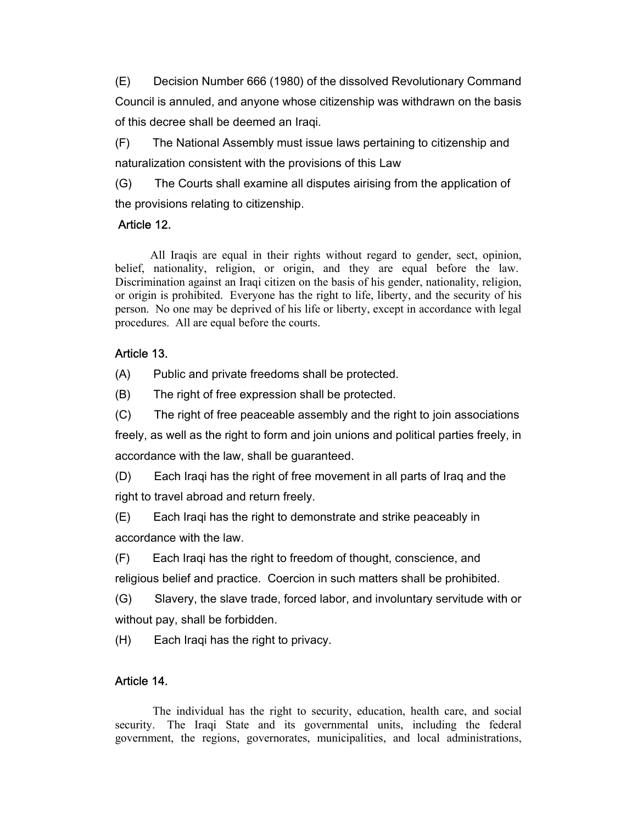(E) Decision Number 666 (1980) of the dissolved Revolutionary Command Council is annuled, and anyone whose citizenship was withdrawn on the basis of this decree shall be deemed an Iraqi.

(F) The National Assembly must issue laws pertaining to citizenship and naturalization consistent with the provisions of this Law

(G) The Courts shall examine all disputes airising from the application of the provisions relating to citizenship.

# Article 12.

All Iraqis are equal in their rights without regard to gender, sect, opinion, belief, nationality, religion, or origin, and they are equal before the law. Discrimination against an Iraqi citizen on the basis of his gender, nationality, religion, or origin is prohibited. Everyone has the right to life, liberty, and the security of his person. No one may be deprived of his life or liberty, except in accordance with legal procedures. All are equal before the courts.

# Article 13.

(A) Public and private freedoms shall be protected.

(B) The right of free expression shall be protected.

(C) The right of free peaceable assembly and the right to join associations freely, as well as the right to form and join unions and political parties freely, in accordance with the law, shall be guaranteed.

(D) Each Iraqi has the right of free movement in all parts of Iraq and the right to travel abroad and return freely.

(E) Each Iraqi has the right to demonstrate and strike peaceably in accordance with the law.

(F) Each Iraqi has the right to freedom of thought, conscience, and

religious belief and practice. Coercion in such matters shall be prohibited.

(G) Slavery, the slave trade, forced labor, and involuntary servitude with or without pay, shall be forbidden.

(H) Each Iraqi has the right to privacy.

# Article 14.

 The individual has the right to security, education, health care, and social security. The Iraqi State and its governmental units, including the federal government, the regions, governorates, municipalities, and local administrations,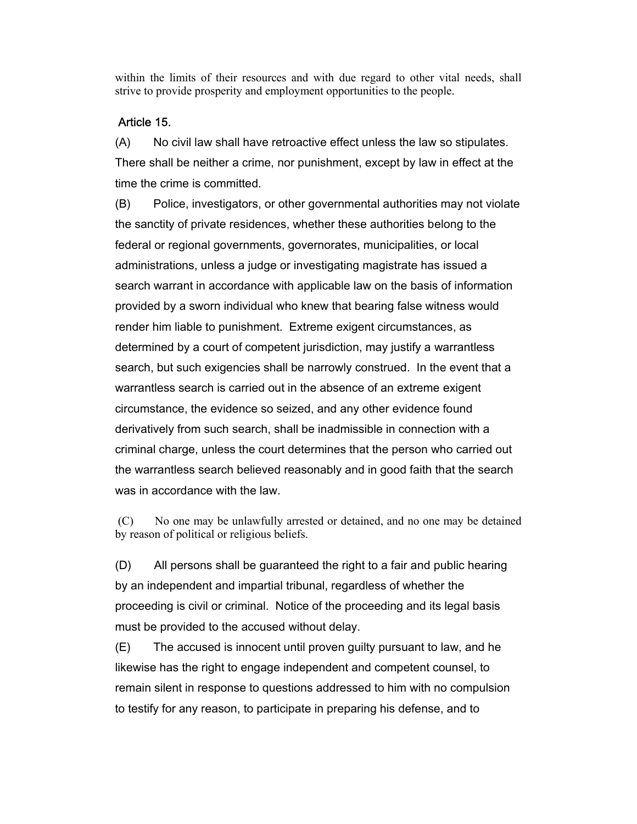within the limits of their resources and with due regard to other vital needs, shall strive to provide prosperity and employment opportunities to the people.

# Article 15.

(A) No civil law shall have retroactive effect unless the law so stipulates. There shall be neither a crime, nor punishment, except by law in effect at the time the crime is committed.

(B) Police, investigators, or other governmental authorities may not violate the sanctity of private residences, whether these authorities belong to the federal or regional governments, governorates, municipalities, or local administrations, unless a judge or investigating magistrate has issued a search warrant in accordance with applicable law on the basis of information provided by a sworn individual who knew that bearing false witness would render him liable to punishment. Extreme exigent circumstances, as determined by a court of competent jurisdiction, may justify a warrantless search, but such exigencies shall be narrowly construed. In the event that a warrantless search is carried out in the absence of an extreme exigent circumstance, the evidence so seized, and any other evidence found derivatively from such search, shall be inadmissible in connection with a criminal charge, unless the court determines that the person who carried out the warrantless search believed reasonably and in good faith that the search was in accordance with the law.

(C) No one may be unlawfully arrested or detained, and no one may be detained by reason of political or religious beliefs.

(D) All persons shall be guaranteed the right to a fair and public hearing by an independent and impartial tribunal, regardless of whether the proceeding is civil or criminal. Notice of the proceeding and its legal basis must be provided to the accused without delay.

(E) The accused is innocent until proven guilty pursuant to law, and he likewise has the right to engage independent and competent counsel, to remain silent in response to questions addressed to him with no compulsion to testify for any reason, to participate in preparing his defense, and to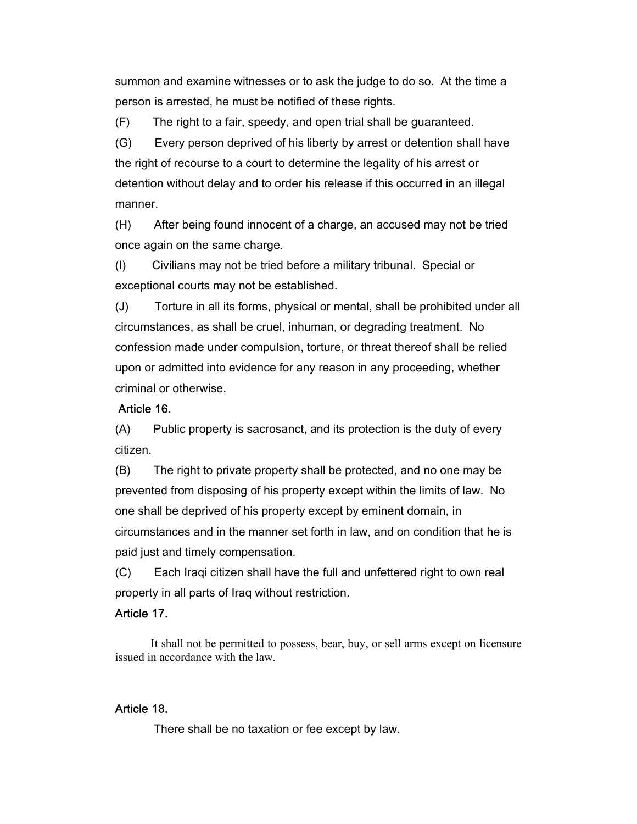summon and examine witnesses or to ask the judge to do so. At the time a person is arrested, he must be notified of these rights.

(F) The right to a fair, speedy, and open trial shall be guaranteed.

(G) Every person deprived of his liberty by arrest or detention shall have the right of recourse to a court to determine the legality of his arrest or detention without delay and to order his release if this occurred in an illegal manner.

(H) After being found innocent of a charge, an accused may not be tried once again on the same charge.

(I) Civilians may not be tried before a military tribunal. Special or exceptional courts may not be established.

(J) Torture in all its forms, physical or mental, shall be prohibited under all circumstances, as shall be cruel, inhuman, or degrading treatment. No confession made under compulsion, torture, or threat thereof shall be relied upon or admitted into evidence for any reason in any proceeding, whether criminal or otherwise.

# Article 16.

(A) Public property is sacrosanct, and its protection is the duty of every citizen.

(B) The right to private property shall be protected, and no one may be prevented from disposing of his property except within the limits of law. No one shall be deprived of his property except by eminent domain, in circumstances and in the manner set forth in law, and on condition that he is paid just and timely compensation.

(C) Each Iraqi citizen shall have the full and unfettered right to own real property in all parts of Iraq without restriction.

# Article 17.

 It shall not be permitted to possess, bear, buy, or sell arms except on licensure issued in accordance with the law.

# Article 18.

There shall be no taxation or fee except by law.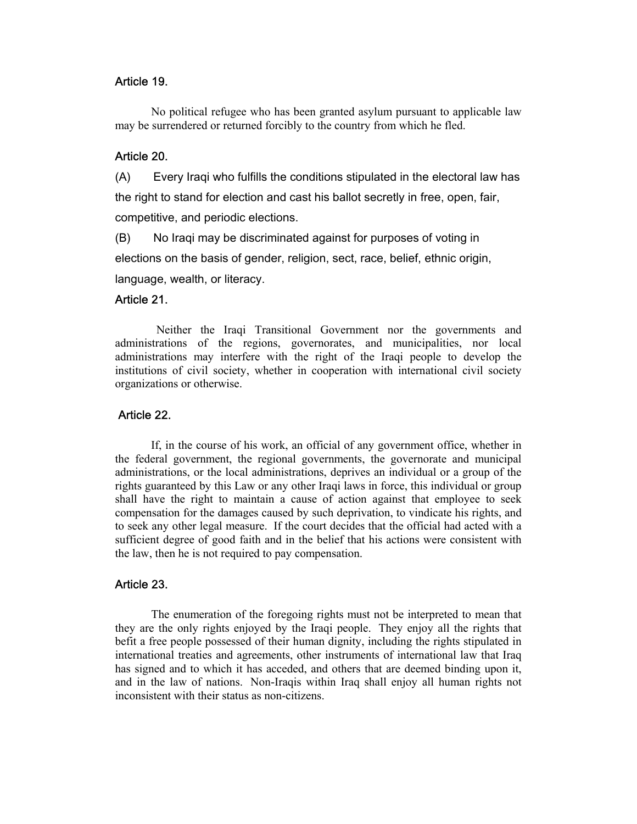### Article 19.

 No political refugee who has been granted asylum pursuant to applicable law may be surrendered or returned forcibly to the country from which he fled.

### Article 20.

(A) Every Iraqi who fulfills the conditions stipulated in the electoral law has the right to stand for election and cast his ballot secretly in free, open, fair, competitive, and periodic elections.

(B) No Iraqi may be discriminated against for purposes of voting in elections on the basis of gender, religion, sect, race, belief, ethnic origin,

language, wealth, or literacy.

# Article 21.

 Neither the Iraqi Transitional Government nor the governments and administrations of the regions, governorates, and municipalities, nor local administrations may interfere with the right of the Iraqi people to develop the institutions of civil society, whether in cooperation with international civil society organizations or otherwise.

#### Article 22.

 If, in the course of his work, an official of any government office, whether in the federal government, the regional governments, the governorate and municipal administrations, or the local administrations, deprives an individual or a group of the rights guaranteed by this Law or any other Iraqi laws in force, this individual or group shall have the right to maintain a cause of action against that employee to seek compensation for the damages caused by such deprivation, to vindicate his rights, and to seek any other legal measure. If the court decides that the official had acted with a sufficient degree of good faith and in the belief that his actions were consistent with the law, then he is not required to pay compensation.

### Article 23.

 The enumeration of the foregoing rights must not be interpreted to mean that they are the only rights enjoyed by the Iraqi people. They enjoy all the rights that befit a free people possessed of their human dignity, including the rights stipulated in international treaties and agreements, other instruments of international law that Iraq has signed and to which it has acceded, and others that are deemed binding upon it, and in the law of nations. Non-Iraqis within Iraq shall enjoy all human rights not inconsistent with their status as non-citizens.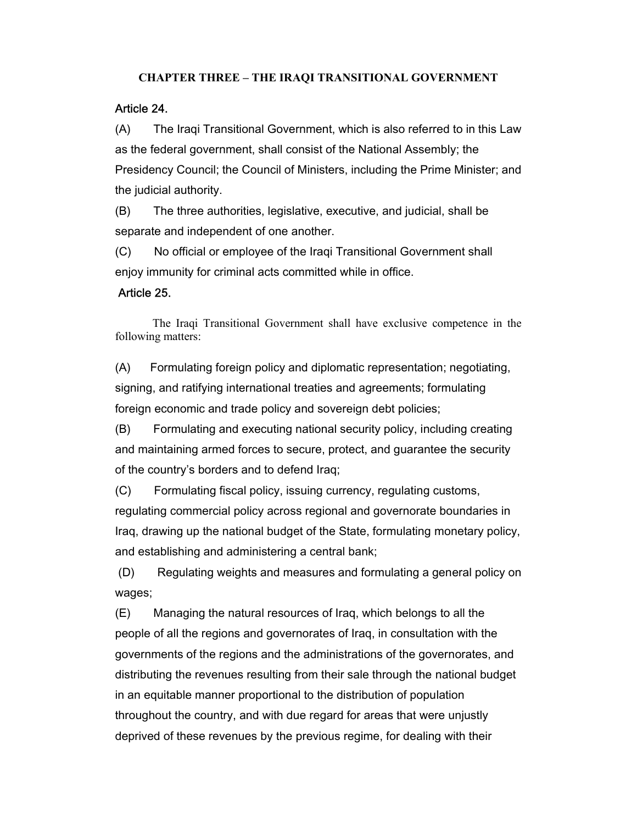# **CHAPTER THREE – THE IRAQI TRANSITIONAL GOVERNMENT**

# Article 24.

(A) The Iraqi Transitional Government, which is also referred to in this Law as the federal government, shall consist of the National Assembly; the Presidency Council; the Council of Ministers, including the Prime Minister; and the judicial authority.

(B) The three authorities, legislative, executive, and judicial, shall be separate and independent of one another.

(C) No official or employee of the Iraqi Transitional Government shall enjoy immunity for criminal acts committed while in office.

# Article 25.

 The Iraqi Transitional Government shall have exclusive competence in the following matters:

(A) Formulating foreign policy and diplomatic representation; negotiating, signing, and ratifying international treaties and agreements; formulating foreign economic and trade policy and sovereign debt policies;

(B) Formulating and executing national security policy, including creating and maintaining armed forces to secure, protect, and guarantee the security of the country's borders and to defend Iraq;

(C) Formulating fiscal policy, issuing currency, regulating customs, regulating commercial policy across regional and governorate boundaries in Iraq, drawing up the national budget of the State, formulating monetary policy, and establishing and administering a central bank;

(D) Regulating weights and measures and formulating a general policy on wages;

(E) Managing the natural resources of Iraq, which belongs to all the people of all the regions and governorates of Iraq, in consultation with the governments of the regions and the administrations of the governorates, and distributing the revenues resulting from their sale through the national budget in an equitable manner proportional to the distribution of population throughout the country, and with due regard for areas that were unjustly deprived of these revenues by the previous regime, for dealing with their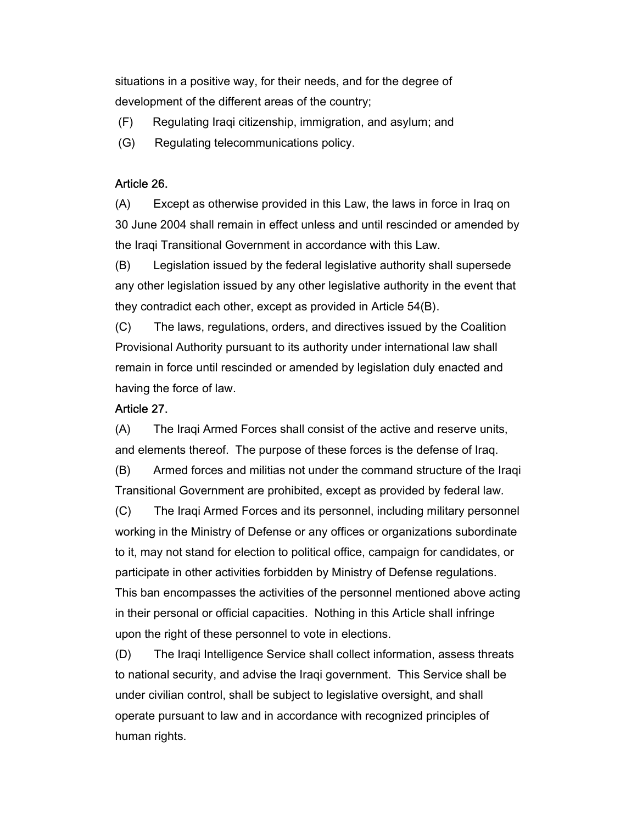situations in a positive way, for their needs, and for the degree of development of the different areas of the country;

- (F) Regulating Iraqi citizenship, immigration, and asylum; and
- (G) Regulating telecommunications policy.

# Article 26.

(A) Except as otherwise provided in this Law, the laws in force in Iraq on 30 June 2004 shall remain in effect unless and until rescinded or amended by the Iraqi Transitional Government in accordance with this Law.

(B) Legislation issued by the federal legislative authority shall supersede any other legislation issued by any other legislative authority in the event that they contradict each other, except as provided in Article 54(B).

(C) The laws, regulations, orders, and directives issued by the Coalition Provisional Authority pursuant to its authority under international law shall remain in force until rescinded or amended by legislation duly enacted and having the force of law.

# Article 27.

(A) The Iraqi Armed Forces shall consist of the active and reserve units, and elements thereof. The purpose of these forces is the defense of Iraq.

(B) Armed forces and militias not under the command structure of the Iraqi Transitional Government are prohibited, except as provided by federal law.

(C) The Iraqi Armed Forces and its personnel, including military personnel working in the Ministry of Defense or any offices or organizations subordinate to it, may not stand for election to political office, campaign for candidates, or participate in other activities forbidden by Ministry of Defense regulations. This ban encompasses the activities of the personnel mentioned above acting in their personal or official capacities. Nothing in this Article shall infringe upon the right of these personnel to vote in elections.

(D) The Iraqi Intelligence Service shall collect information, assess threats to national security, and advise the Iraqi government. This Service shall be under civilian control, shall be subject to legislative oversight, and shall operate pursuant to law and in accordance with recognized principles of human rights.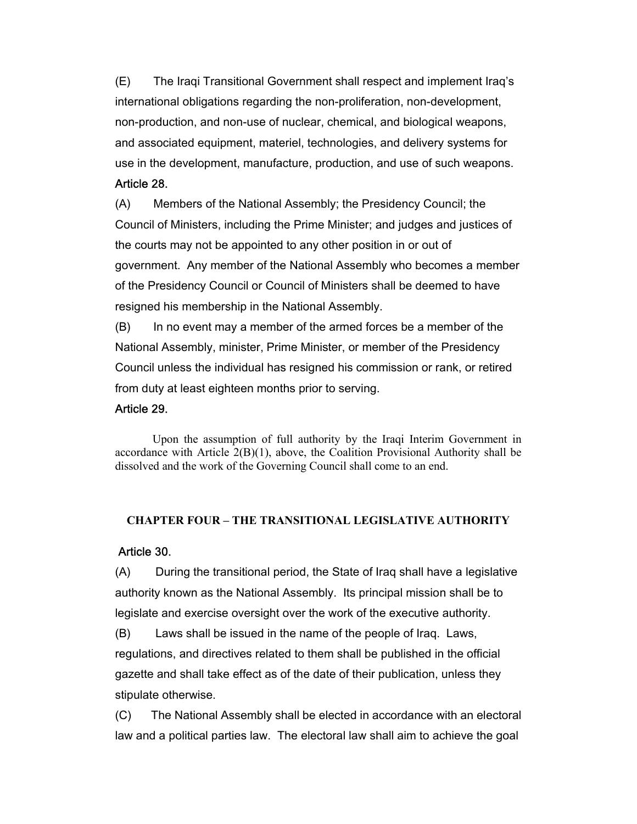(E) The Iraqi Transitional Government shall respect and implement Iraq's international obligations regarding the non-proliferation, non-development, non-production, and non-use of nuclear, chemical, and biological weapons, and associated equipment, materiel, technologies, and delivery systems for use in the development, manufacture, production, and use of such weapons.

# Article 28.

(A) Members of the National Assembly; the Presidency Council; the Council of Ministers, including the Prime Minister; and judges and justices of the courts may not be appointed to any other position in or out of government. Any member of the National Assembly who becomes a member of the Presidency Council or Council of Ministers shall be deemed to have resigned his membership in the National Assembly.

(B) In no event may a member of the armed forces be a member of the National Assembly, minister, Prime Minister, or member of the Presidency Council unless the individual has resigned his commission or rank, or retired from duty at least eighteen months prior to serving.

# Article 29.

 Upon the assumption of full authority by the Iraqi Interim Government in accordance with Article  $2(B)(1)$ , above, the Coalition Provisional Authority shall be dissolved and the work of the Governing Council shall come to an end.

# **CHAPTER FOUR – THE TRANSITIONAL LEGISLATIVE AUTHORITY**

# Article 30.

(A) During the transitional period, the State of Iraq shall have a legislative authority known as the National Assembly. Its principal mission shall be to legislate and exercise oversight over the work of the executive authority.

(B) Laws shall be issued in the name of the people of Iraq. Laws, regulations, and directives related to them shall be published in the official gazette and shall take effect as of the date of their publication, unless they stipulate otherwise.

(C) The National Assembly shall be elected in accordance with an electoral law and a political parties law. The electoral law shall aim to achieve the goal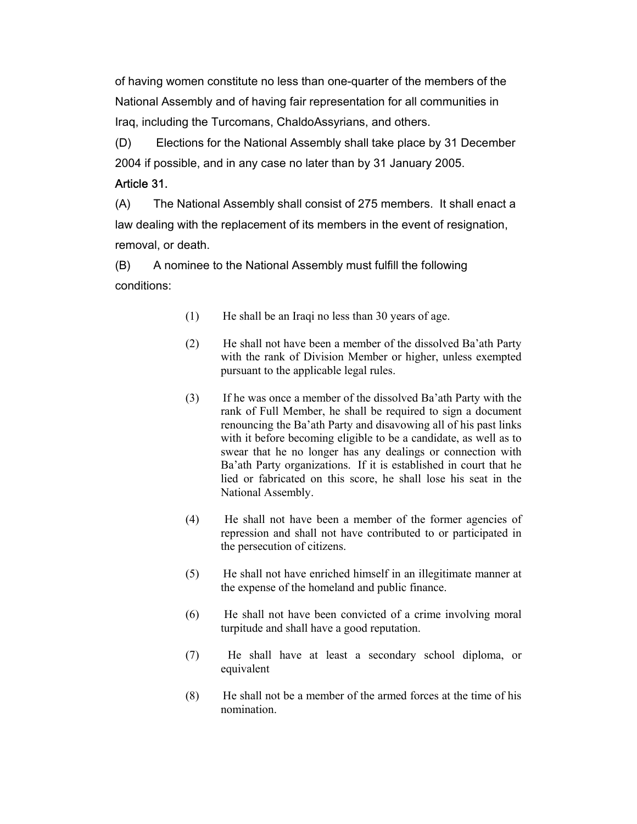of having women constitute no less than one-quarter of the members of the National Assembly and of having fair representation for all communities in Iraq, including the Turcomans, ChaldoAssyrians, and others.

(D) Elections for the National Assembly shall take place by 31 December 2004 if possible, and in any case no later than by 31 January 2005.

# Article 31.

(A) The National Assembly shall consist of 275 members. It shall enact a law dealing with the replacement of its members in the event of resignation, removal, or death.

(B) A nominee to the National Assembly must fulfill the following conditions:

- (1) He shall be an Iraqi no less than 30 years of age.
- (2) He shall not have been a member of the dissolved Ba'ath Party with the rank of Division Member or higher, unless exempted pursuant to the applicable legal rules.
- (3) If he was once a member of the dissolved Ba'ath Party with the rank of Full Member, he shall be required to sign a document renouncing the Ba'ath Party and disavowing all of his past links with it before becoming eligible to be a candidate, as well as to swear that he no longer has any dealings or connection with Ba'ath Party organizations. If it is established in court that he lied or fabricated on this score, he shall lose his seat in the National Assembly.
- (4) He shall not have been a member of the former agencies of repression and shall not have contributed to or participated in the persecution of citizens.
- (5) He shall not have enriched himself in an illegitimate manner at the expense of the homeland and public finance.
- (6) He shall not have been convicted of a crime involving moral turpitude and shall have a good reputation.
- (7) He shall have at least a secondary school diploma, or equivalent
- (8) He shall not be a member of the armed forces at the time of his nomination.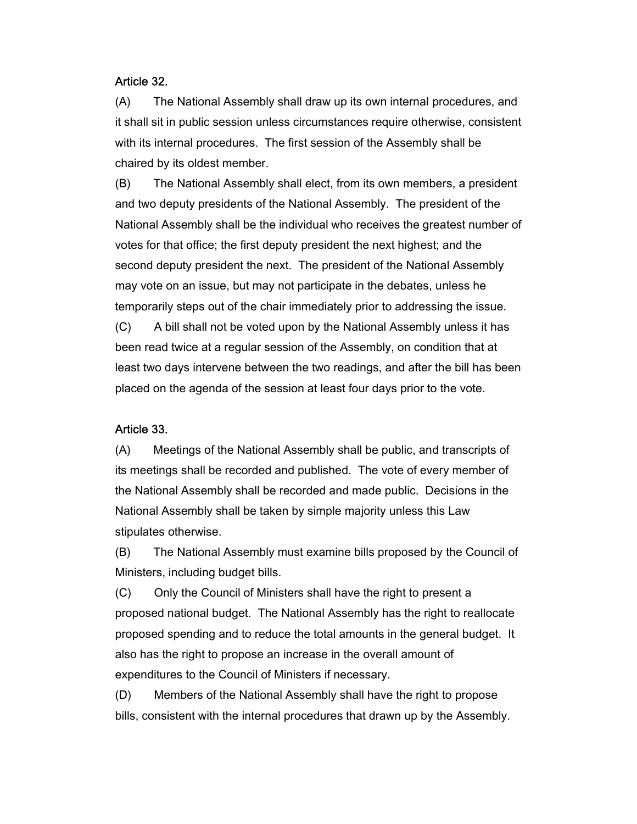#### Article 32.

(A) The National Assembly shall draw up its own internal procedures, and it shall sit in public session unless circumstances require otherwise, consistent with its internal procedures. The first session of the Assembly shall be chaired by its oldest member.

(B) The National Assembly shall elect, from its own members, a president and two deputy presidents of the National Assembly. The president of the National Assembly shall be the individual who receives the greatest number of votes for that office; the first deputy president the next highest; and the second deputy president the next. The president of the National Assembly may vote on an issue, but may not participate in the debates, unless he temporarily steps out of the chair immediately prior to addressing the issue. (C) A bill shall not be voted upon by the National Assembly unless it has been read twice at a regular session of the Assembly, on condition that at least two days intervene between the two readings, and after the bill has been

placed on the agenda of the session at least four days prior to the vote.

#### Article 33.

(A) Meetings of the National Assembly shall be public, and transcripts of its meetings shall be recorded and published. The vote of every member of the National Assembly shall be recorded and made public. Decisions in the National Assembly shall be taken by simple majority unless this Law stipulates otherwise.

(B) The National Assembly must examine bills proposed by the Council of Ministers, including budget bills.

(C) Only the Council of Ministers shall have the right to present a proposed national budget. The National Assembly has the right to reallocate proposed spending and to reduce the total amounts in the general budget. It also has the right to propose an increase in the overall amount of expenditures to the Council of Ministers if necessary.

(D) Members of the National Assembly shall have the right to propose bills, consistent with the internal procedures that drawn up by the Assembly.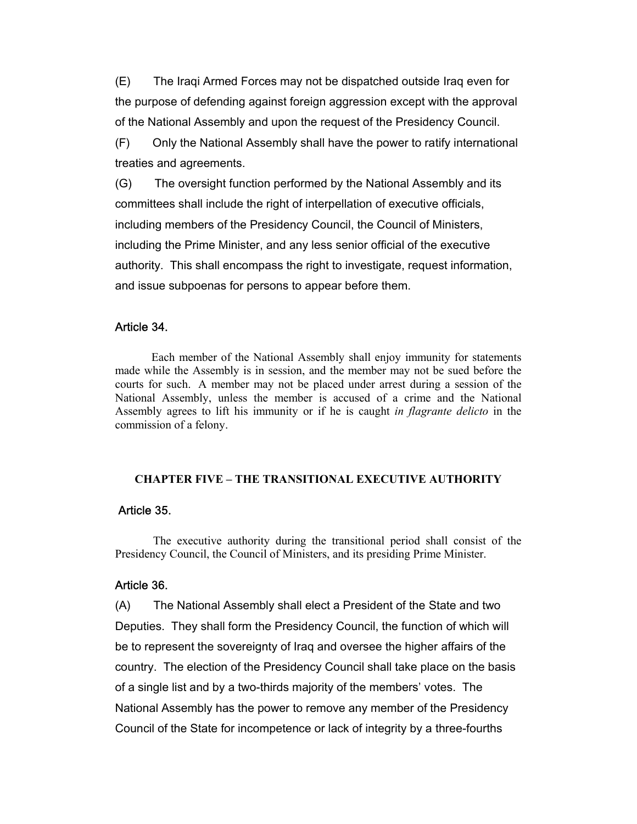(E) The Iraqi Armed Forces may not be dispatched outside Iraq even for the purpose of defending against foreign aggression except with the approval of the National Assembly and upon the request of the Presidency Council.

(F) Only the National Assembly shall have the power to ratify international treaties and agreements.

(G) The oversight function performed by the National Assembly and its committees shall include the right of interpellation of executive officials, including members of the Presidency Council, the Council of Ministers, including the Prime Minister, and any less senior official of the executive authority. This shall encompass the right to investigate, request information, and issue subpoenas for persons to appear before them.

### Article 34.

 Each member of the National Assembly shall enjoy immunity for statements made while the Assembly is in session, and the member may not be sued before the courts for such. A member may not be placed under arrest during a session of the National Assembly, unless the member is accused of a crime and the National Assembly agrees to lift his immunity or if he is caught *in flagrante delicto* in the commission of a felony.

#### **CHAPTER FIVE – THE TRANSITIONAL EXECUTIVE AUTHORITY**

# Article 35.

 The executive authority during the transitional period shall consist of the Presidency Council, the Council of Ministers, and its presiding Prime Minister.

#### Article 36.

(A) The National Assembly shall elect a President of the State and two Deputies. They shall form the Presidency Council, the function of which will be to represent the sovereignty of Iraq and oversee the higher affairs of the country. The election of the Presidency Council shall take place on the basis of a single list and by a two-thirds majority of the members' votes. The National Assembly has the power to remove any member of the Presidency Council of the State for incompetence or lack of integrity by a three-fourths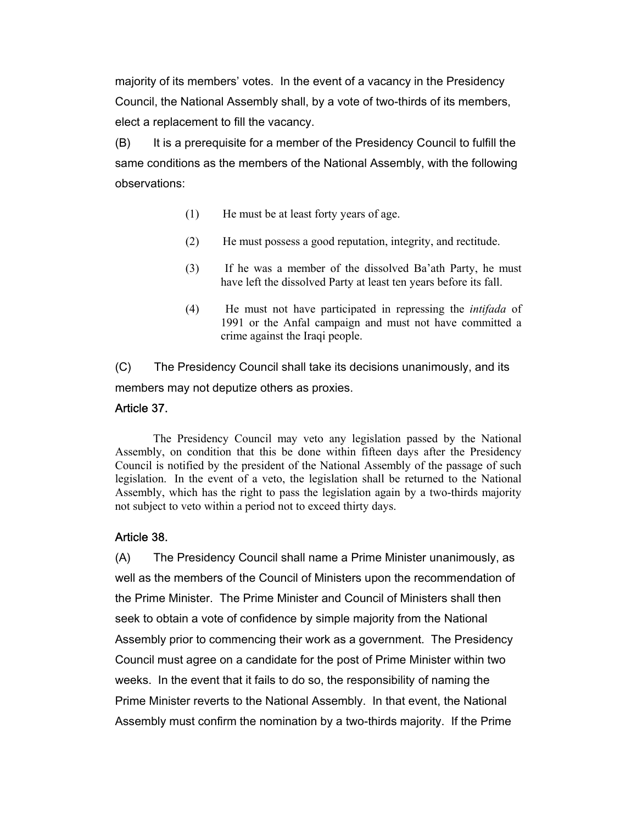majority of its members' votes. In the event of a vacancy in the Presidency Council, the National Assembly shall, by a vote of two-thirds of its members, elect a replacement to fill the vacancy.

(B) It is a prerequisite for a member of the Presidency Council to fulfill the same conditions as the members of the National Assembly, with the following observations:

- (1) He must be at least forty years of age.
- (2) He must possess a good reputation, integrity, and rectitude.
- (3) If he was a member of the dissolved Ba'ath Party, he must have left the dissolved Party at least ten years before its fall.
- (4) He must not have participated in repressing the *intifada* of 1991 or the Anfal campaign and must not have committed a crime against the Iraqi people.

(C) The Presidency Council shall take its decisions unanimously, and its members may not deputize others as proxies.

# Article 37.

 The Presidency Council may veto any legislation passed by the National Assembly, on condition that this be done within fifteen days after the Presidency Council is notified by the president of the National Assembly of the passage of such legislation. In the event of a veto, the legislation shall be returned to the National Assembly, which has the right to pass the legislation again by a two-thirds majority not subject to veto within a period not to exceed thirty days.

# Article 38.

(A) The Presidency Council shall name a Prime Minister unanimously, as well as the members of the Council of Ministers upon the recommendation of the Prime Minister. The Prime Minister and Council of Ministers shall then seek to obtain a vote of confidence by simple majority from the National Assembly prior to commencing their work as a government. The Presidency Council must agree on a candidate for the post of Prime Minister within two weeks. In the event that it fails to do so, the responsibility of naming the Prime Minister reverts to the National Assembly. In that event, the National Assembly must confirm the nomination by a two-thirds majority. If the Prime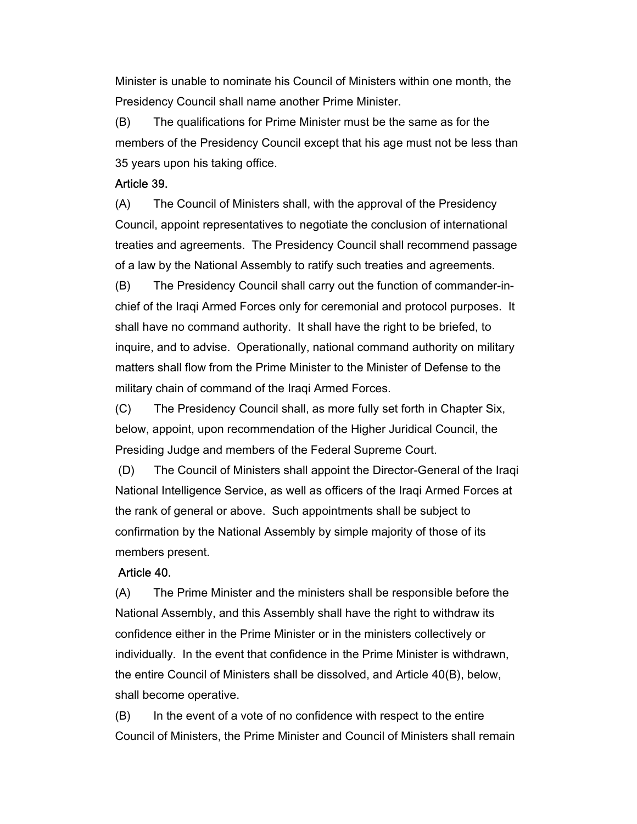Minister is unable to nominate his Council of Ministers within one month, the Presidency Council shall name another Prime Minister.

(B) The qualifications for Prime Minister must be the same as for the members of the Presidency Council except that his age must not be less than 35 years upon his taking office.

# Article 39.

(A) The Council of Ministers shall, with the approval of the Presidency Council, appoint representatives to negotiate the conclusion of international treaties and agreements. The Presidency Council shall recommend passage of a law by the National Assembly to ratify such treaties and agreements.

(B) The Presidency Council shall carry out the function of commander-inchief of the Iraqi Armed Forces only for ceremonial and protocol purposes. It shall have no command authority. It shall have the right to be briefed, to inquire, and to advise. Operationally, national command authority on military matters shall flow from the Prime Minister to the Minister of Defense to the military chain of command of the Iraqi Armed Forces.

(C) The Presidency Council shall, as more fully set forth in Chapter Six, below, appoint, upon recommendation of the Higher Juridical Council, the Presiding Judge and members of the Federal Supreme Court.

 (D) The Council of Ministers shall appoint the Director-General of the Iraqi National Intelligence Service, as well as officers of the Iraqi Armed Forces at the rank of general or above. Such appointments shall be subject to confirmation by the National Assembly by simple majority of those of its members present.

# Article 40.

(A) The Prime Minister and the ministers shall be responsible before the National Assembly, and this Assembly shall have the right to withdraw its confidence either in the Prime Minister or in the ministers collectively or individually. In the event that confidence in the Prime Minister is withdrawn, the entire Council of Ministers shall be dissolved, and Article 40(B), below, shall become operative.

(B) In the event of a vote of no confidence with respect to the entire Council of Ministers, the Prime Minister and Council of Ministers shall remain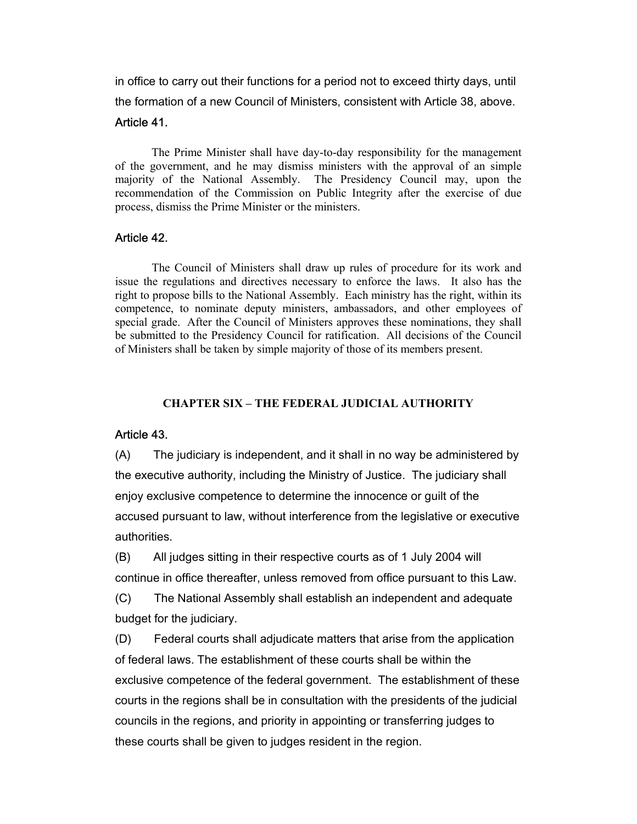in office to carry out their functions for a period not to exceed thirty days, until the formation of a new Council of Ministers, consistent with Article 38, above. Article 41.

 The Prime Minister shall have day-to-day responsibility for the management of the government, and he may dismiss ministers with the approval of an simple majority of the National Assembly. The Presidency Council may, upon the recommendation of the Commission on Public Integrity after the exercise of due process, dismiss the Prime Minister or the ministers.

# Article 42.

 The Council of Ministers shall draw up rules of procedure for its work and issue the regulations and directives necessary to enforce the laws. It also has the right to propose bills to the National Assembly. Each ministry has the right, within its competence, to nominate deputy ministers, ambassadors, and other employees of special grade. After the Council of Ministers approves these nominations, they shall be submitted to the Presidency Council for ratification. All decisions of the Council of Ministers shall be taken by simple majority of those of its members present.

### **CHAPTER SIX – THE FEDERAL JUDICIAL AUTHORITY**

### Article 43.

(A) The judiciary is independent, and it shall in no way be administered by the executive authority, including the Ministry of Justice. The judiciary shall enjoy exclusive competence to determine the innocence or guilt of the accused pursuant to law, without interference from the legislative or executive authorities.

(B) All judges sitting in their respective courts as of 1 July 2004 will continue in office thereafter, unless removed from office pursuant to this Law.

(C) The National Assembly shall establish an independent and adequate budget for the judiciary.

(D) Federal courts shall adjudicate matters that arise from the application of federal laws. The establishment of these courts shall be within the exclusive competence of the federal government. The establishment of these courts in the regions shall be in consultation with the presidents of the judicial councils in the regions, and priority in appointing or transferring judges to these courts shall be given to judges resident in the region.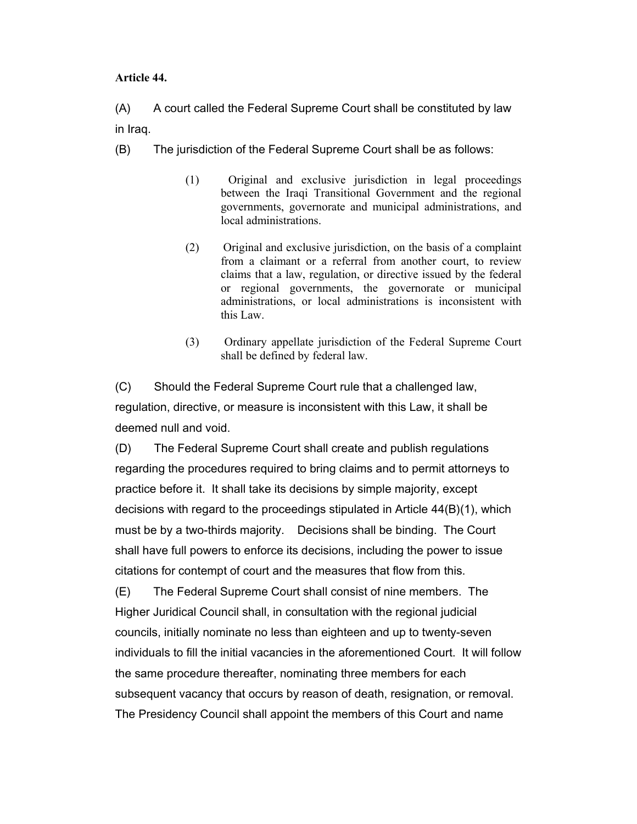# **Article 44.**

(A) A court called the Federal Supreme Court shall be constituted by law in Iraq.

(B) The jurisdiction of the Federal Supreme Court shall be as follows:

- (1) Original and exclusive jurisdiction in legal proceedings between the Iraqi Transitional Government and the regional governments, governorate and municipal administrations, and local administrations.
- (2) Original and exclusive jurisdiction, on the basis of a complaint from a claimant or a referral from another court, to review claims that a law, regulation, or directive issued by the federal or regional governments, the governorate or municipal administrations, or local administrations is inconsistent with this Law.
- (3) Ordinary appellate jurisdiction of the Federal Supreme Court shall be defined by federal law.

(C) Should the Federal Supreme Court rule that a challenged law, regulation, directive, or measure is inconsistent with this Law, it shall be deemed null and void.

(D) The Federal Supreme Court shall create and publish regulations regarding the procedures required to bring claims and to permit attorneys to practice before it. It shall take its decisions by simple majority, except decisions with regard to the proceedings stipulated in Article 44(B)(1), which must be by a two-thirds majority. Decisions shall be binding. The Court shall have full powers to enforce its decisions, including the power to issue citations for contempt of court and the measures that flow from this.

(E) The Federal Supreme Court shall consist of nine members. The Higher Juridical Council shall, in consultation with the regional judicial councils, initially nominate no less than eighteen and up to twenty-seven individuals to fill the initial vacancies in the aforementioned Court. It will follow the same procedure thereafter, nominating three members for each subsequent vacancy that occurs by reason of death, resignation, or removal. The Presidency Council shall appoint the members of this Court and name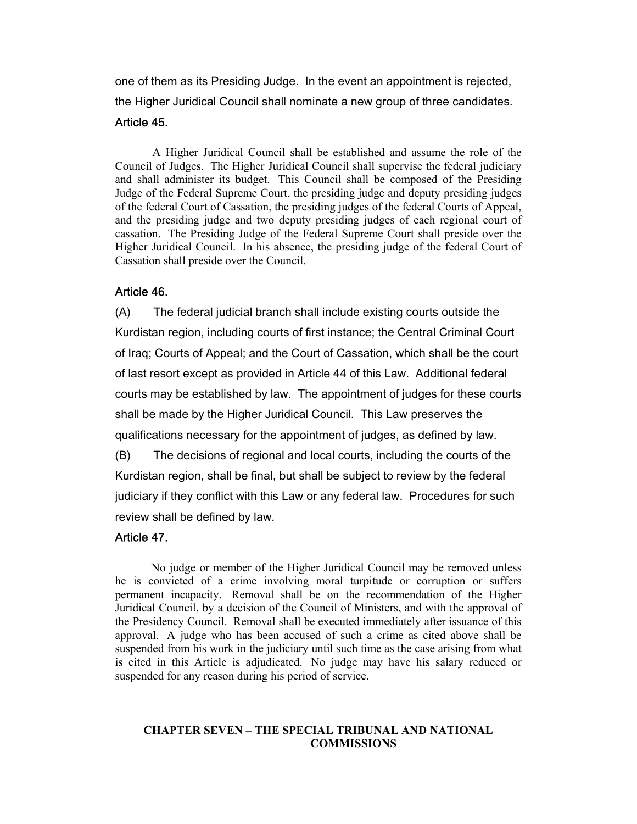one of them as its Presiding Judge. In the event an appointment is rejected, the Higher Juridical Council shall nominate a new group of three candidates. Article 45.

 A Higher Juridical Council shall be established and assume the role of the Council of Judges. The Higher Juridical Council shall supervise the federal judiciary and shall administer its budget. This Council shall be composed of the Presiding Judge of the Federal Supreme Court, the presiding judge and deputy presiding judges of the federal Court of Cassation, the presiding judges of the federal Courts of Appeal, and the presiding judge and two deputy presiding judges of each regional court of cassation. The Presiding Judge of the Federal Supreme Court shall preside over the Higher Juridical Council. In his absence, the presiding judge of the federal Court of Cassation shall preside over the Council.

# Article 46.

(A) The federal judicial branch shall include existing courts outside the Kurdistan region, including courts of first instance; the Central Criminal Court of Iraq; Courts of Appeal; and the Court of Cassation, which shall be the court of last resort except as provided in Article 44 of this Law. Additional federal courts may be established by law. The appointment of judges for these courts shall be made by the Higher Juridical Council. This Law preserves the qualifications necessary for the appointment of judges, as defined by law.

(B) The decisions of regional and local courts, including the courts of the Kurdistan region, shall be final, but shall be subject to review by the federal judiciary if they conflict with this Law or any federal law. Procedures for such review shall be defined by law.

# Article 47.

 No judge or member of the Higher Juridical Council may be removed unless he is convicted of a crime involving moral turpitude or corruption or suffers permanent incapacity. Removal shall be on the recommendation of the Higher Juridical Council, by a decision of the Council of Ministers, and with the approval of the Presidency Council. Removal shall be executed immediately after issuance of this approval. A judge who has been accused of such a crime as cited above shall be suspended from his work in the judiciary until such time as the case arising from what is cited in this Article is adjudicated. No judge may have his salary reduced or suspended for any reason during his period of service.

# **CHAPTER SEVEN – THE SPECIAL TRIBUNAL AND NATIONAL COMMISSIONS**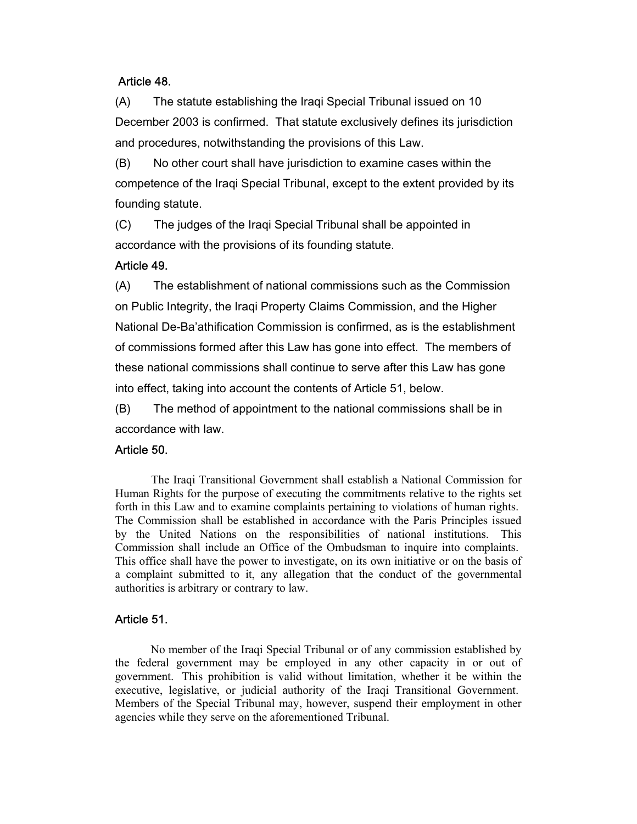### Article 48.

(A) The statute establishing the Iraqi Special Tribunal issued on 10 December 2003 is confirmed. That statute exclusively defines its jurisdiction and procedures, notwithstanding the provisions of this Law.

(B) No other court shall have jurisdiction to examine cases within the competence of the Iraqi Special Tribunal, except to the extent provided by its founding statute.

(C) The judges of the Iraqi Special Tribunal shall be appointed in accordance with the provisions of its founding statute.

# Article 49.

(A) The establishment of national commissions such as the Commission on Public Integrity, the Iraqi Property Claims Commission, and the Higher National De-Ba'athification Commission is confirmed, as is the establishment of commissions formed after this Law has gone into effect. The members of these national commissions shall continue to serve after this Law has gone into effect, taking into account the contents of Article 51, below.

(B) The method of appointment to the national commissions shall be in accordance with law.

# Article 50.

 The Iraqi Transitional Government shall establish a National Commission for Human Rights for the purpose of executing the commitments relative to the rights set forth in this Law and to examine complaints pertaining to violations of human rights. The Commission shall be established in accordance with the Paris Principles issued by the United Nations on the responsibilities of national institutions. This Commission shall include an Office of the Ombudsman to inquire into complaints. This office shall have the power to investigate, on its own initiative or on the basis of a complaint submitted to it, any allegation that the conduct of the governmental authorities is arbitrary or contrary to law.

### Article 51.

 No member of the Iraqi Special Tribunal or of any commission established by the federal government may be employed in any other capacity in or out of government. This prohibition is valid without limitation, whether it be within the executive, legislative, or judicial authority of the Iraqi Transitional Government. Members of the Special Tribunal may, however, suspend their employment in other agencies while they serve on the aforementioned Tribunal.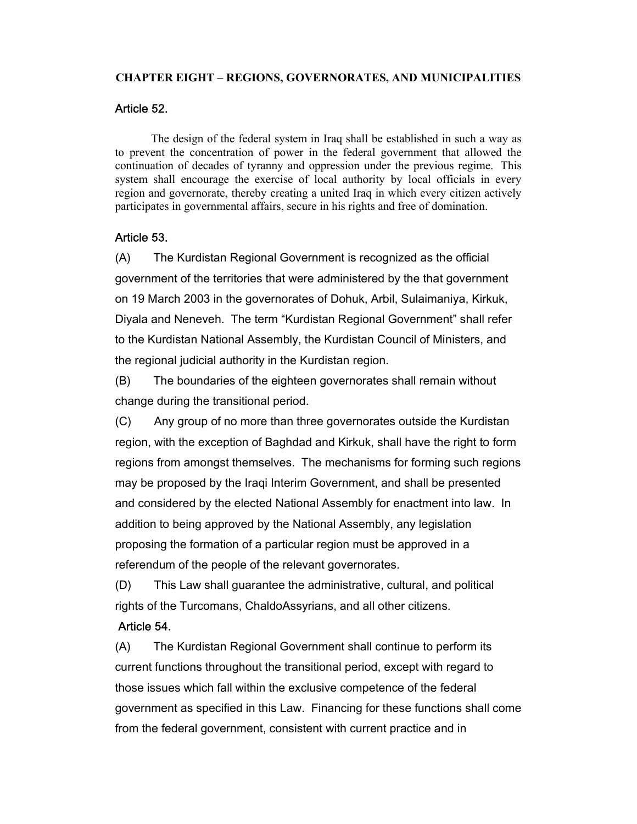# **CHAPTER EIGHT – REGIONS, GOVERNORATES, AND MUNICIPALITIES**

# Article 52.

 The design of the federal system in Iraq shall be established in such a way as to prevent the concentration of power in the federal government that allowed the continuation of decades of tyranny and oppression under the previous regime. This system shall encourage the exercise of local authority by local officials in every region and governorate, thereby creating a united Iraq in which every citizen actively participates in governmental affairs, secure in his rights and free of domination.

# Article 53.

(A) The Kurdistan Regional Government is recognized as the official government of the territories that were administered by the that government on 19 March 2003 in the governorates of Dohuk, Arbil, Sulaimaniya, Kirkuk, Diyala and Neneveh. The term "Kurdistan Regional Government" shall refer to the Kurdistan National Assembly, the Kurdistan Council of Ministers, and the regional judicial authority in the Kurdistan region.

(B) The boundaries of the eighteen governorates shall remain without change during the transitional period.

(C) Any group of no more than three governorates outside the Kurdistan region, with the exception of Baghdad and Kirkuk, shall have the right to form regions from amongst themselves. The mechanisms for forming such regions may be proposed by the Iraqi Interim Government, and shall be presented and considered by the elected National Assembly for enactment into law. In addition to being approved by the National Assembly, any legislation proposing the formation of a particular region must be approved in a referendum of the people of the relevant governorates.

(D) This Law shall guarantee the administrative, cultural, and political rights of the Turcomans, ChaldoAssyrians, and all other citizens.

#### Article 54.

(A) The Kurdistan Regional Government shall continue to perform its current functions throughout the transitional period, except with regard to those issues which fall within the exclusive competence of the federal government as specified in this Law. Financing for these functions shall come from the federal government, consistent with current practice and in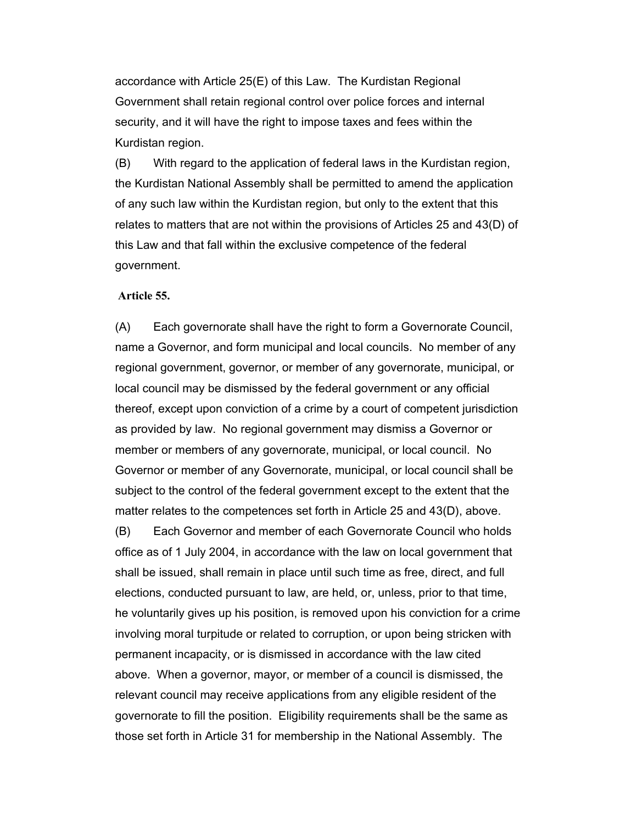accordance with Article 25(E) of this Law. The Kurdistan Regional Government shall retain regional control over police forces and internal security, and it will have the right to impose taxes and fees within the Kurdistan region.

(B) With regard to the application of federal laws in the Kurdistan region, the Kurdistan National Assembly shall be permitted to amend the application of any such law within the Kurdistan region, but only to the extent that this relates to matters that are not within the provisions of Articles 25 and 43(D) of this Law and that fall within the exclusive competence of the federal government.

#### **Article 55.**

(A) Each governorate shall have the right to form a Governorate Council, name a Governor, and form municipal and local councils. No member of any regional government, governor, or member of any governorate, municipal, or local council may be dismissed by the federal government or any official thereof, except upon conviction of a crime by a court of competent jurisdiction as provided by law. No regional government may dismiss a Governor or member or members of any governorate, municipal, or local council. No Governor or member of any Governorate, municipal, or local council shall be subject to the control of the federal government except to the extent that the matter relates to the competences set forth in Article 25 and 43(D), above.

(B) Each Governor and member of each Governorate Council who holds office as of 1 July 2004, in accordance with the law on local government that shall be issued, shall remain in place until such time as free, direct, and full elections, conducted pursuant to law, are held, or, unless, prior to that time, he voluntarily gives up his position, is removed upon his conviction for a crime involving moral turpitude or related to corruption, or upon being stricken with permanent incapacity, or is dismissed in accordance with the law cited above. When a governor, mayor, or member of a council is dismissed, the relevant council may receive applications from any eligible resident of the governorate to fill the position. Eligibility requirements shall be the same as those set forth in Article 31 for membership in the National Assembly. The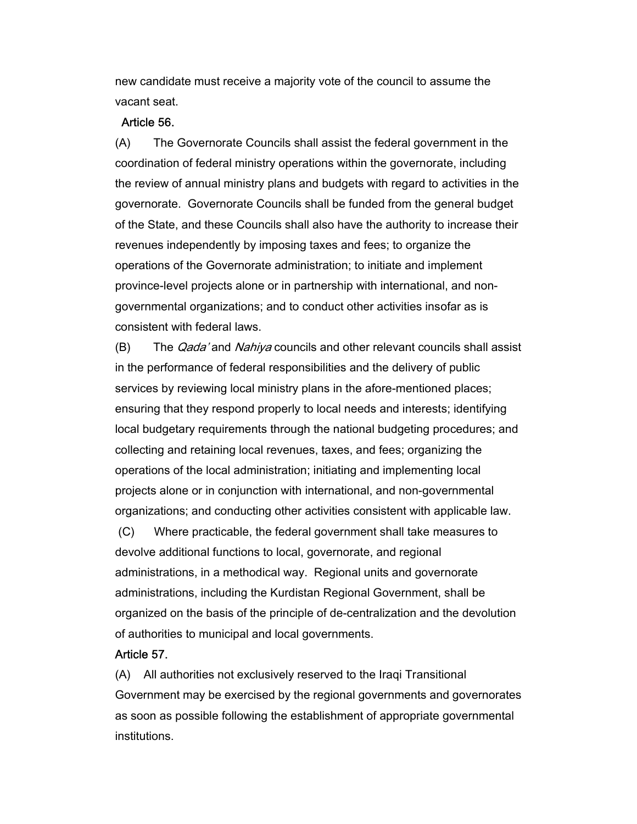new candidate must receive a majority vote of the council to assume the vacant seat.

### Article 56.

(A) The Governorate Councils shall assist the federal government in the coordination of federal ministry operations within the governorate, including the review of annual ministry plans and budgets with regard to activities in the governorate. Governorate Councils shall be funded from the general budget of the State, and these Councils shall also have the authority to increase their revenues independently by imposing taxes and fees; to organize the operations of the Governorate administration; to initiate and implement province-level projects alone or in partnership with international, and nongovernmental organizations; and to conduct other activities insofar as is consistent with federal laws.

(B) The *Qada'* and *Nahiya* councils and other relevant councils shall assist in the performance of federal responsibilities and the delivery of public services by reviewing local ministry plans in the afore-mentioned places; ensuring that they respond properly to local needs and interests; identifying local budgetary requirements through the national budgeting procedures; and collecting and retaining local revenues, taxes, and fees; organizing the operations of the local administration; initiating and implementing local projects alone or in conjunction with international, and non-governmental organizations; and conducting other activities consistent with applicable law.

 (C) Where practicable, the federal government shall take measures to devolve additional functions to local, governorate, and regional administrations, in a methodical way. Regional units and governorate administrations, including the Kurdistan Regional Government, shall be organized on the basis of the principle of de-centralization and the devolution of authorities to municipal and local governments.

# Article 57.

(A) All authorities not exclusively reserved to the Iraqi Transitional Government may be exercised by the regional governments and governorates as soon as possible following the establishment of appropriate governmental institutions.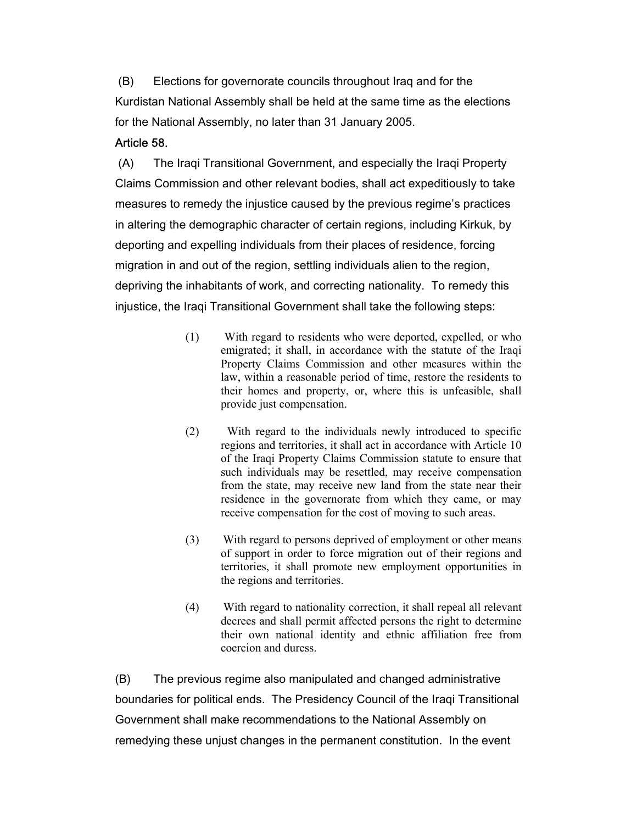(B) Elections for governorate councils throughout Iraq and for the Kurdistan National Assembly shall be held at the same time as the elections for the National Assembly, no later than 31 January 2005.

# Article 58.

 (A) The Iraqi Transitional Government, and especially the Iraqi Property Claims Commission and other relevant bodies, shall act expeditiously to take measures to remedy the injustice caused by the previous regime's practices in altering the demographic character of certain regions, including Kirkuk, by deporting and expelling individuals from their places of residence, forcing migration in and out of the region, settling individuals alien to the region, depriving the inhabitants of work, and correcting nationality. To remedy this injustice, the Iraqi Transitional Government shall take the following steps:

- (1) With regard to residents who were deported, expelled, or who emigrated; it shall, in accordance with the statute of the Iraqi Property Claims Commission and other measures within the law, within a reasonable period of time, restore the residents to their homes and property, or, where this is unfeasible, shall provide just compensation.
- (2) With regard to the individuals newly introduced to specific regions and territories, it shall act in accordance with Article 10 of the Iraqi Property Claims Commission statute to ensure that such individuals may be resettled, may receive compensation from the state, may receive new land from the state near their residence in the governorate from which they came, or may receive compensation for the cost of moving to such areas.
- (3) With regard to persons deprived of employment or other means of support in order to force migration out of their regions and territories, it shall promote new employment opportunities in the regions and territories.
- (4) With regard to nationality correction, it shall repeal all relevant decrees and shall permit affected persons the right to determine their own national identity and ethnic affiliation free from coercion and duress.

(B) The previous regime also manipulated and changed administrative boundaries for political ends. The Presidency Council of the Iraqi Transitional Government shall make recommendations to the National Assembly on remedying these unjust changes in the permanent constitution. In the event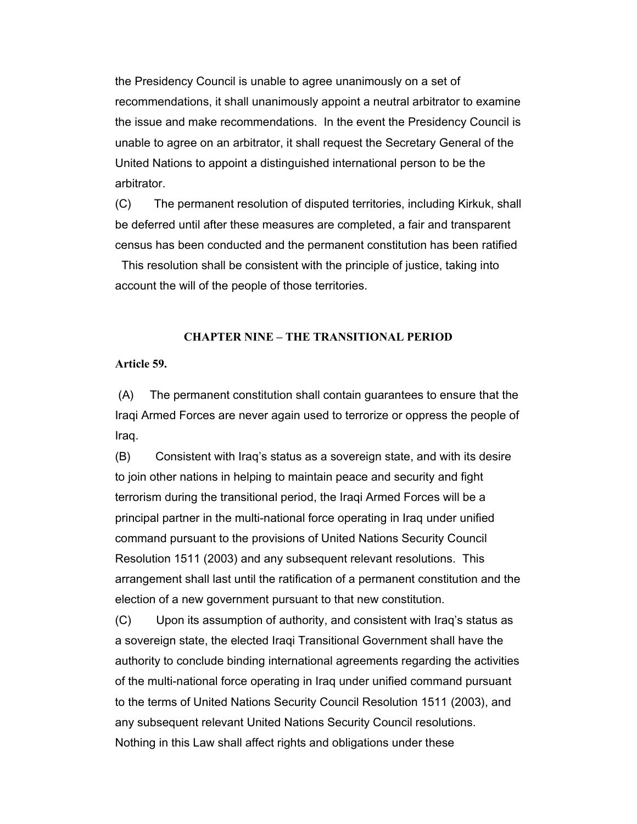the Presidency Council is unable to agree unanimously on a set of recommendations, it shall unanimously appoint a neutral arbitrator to examine the issue and make recommendations. In the event the Presidency Council is unable to agree on an arbitrator, it shall request the Secretary General of the United Nations to appoint a distinguished international person to be the arbitrator.

(C) The permanent resolution of disputed territories, including Kirkuk, shall be deferred until after these measures are completed, a fair and transparent census has been conducted and the permanent constitution has been ratified

 This resolution shall be consistent with the principle of justice, taking into account the will of the people of those territories.

#### **CHAPTER NINE – THE TRANSITIONAL PERIOD**

#### **Article 59.**

 (A) The permanent constitution shall contain guarantees to ensure that the Iraqi Armed Forces are never again used to terrorize or oppress the people of Iraq.

(B) Consistent with Iraq's status as a sovereign state, and with its desire to join other nations in helping to maintain peace and security and fight terrorism during the transitional period, the Iraqi Armed Forces will be a principal partner in the multi-national force operating in Iraq under unified command pursuant to the provisions of United Nations Security Council Resolution 1511 (2003) and any subsequent relevant resolutions. This arrangement shall last until the ratification of a permanent constitution and the election of a new government pursuant to that new constitution.

(C) Upon its assumption of authority, and consistent with Iraq's status as a sovereign state, the elected Iraqi Transitional Government shall have the authority to conclude binding international agreements regarding the activities of the multi-national force operating in Iraq under unified command pursuant to the terms of United Nations Security Council Resolution 1511 (2003), and any subsequent relevant United Nations Security Council resolutions. Nothing in this Law shall affect rights and obligations under these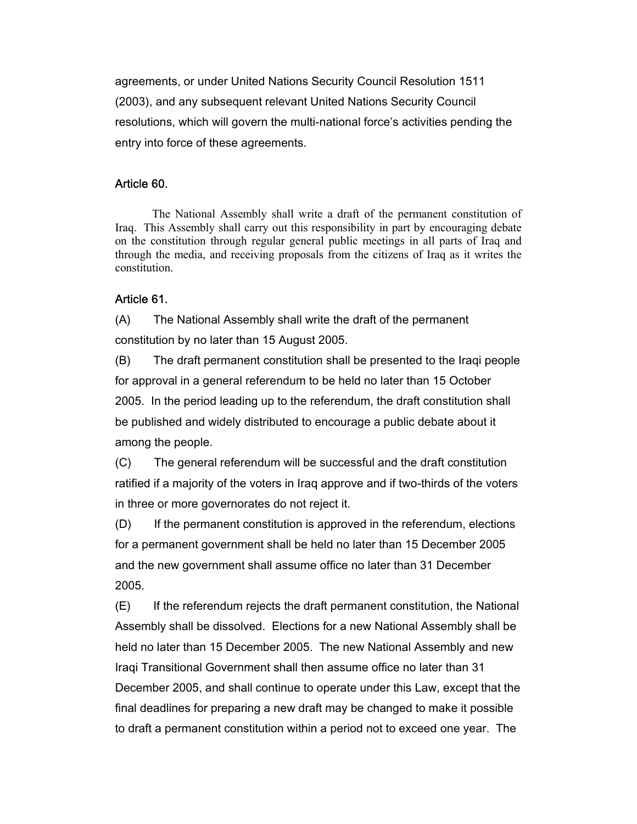agreements, or under United Nations Security Council Resolution 1511 (2003), and any subsequent relevant United Nations Security Council resolutions, which will govern the multi-national force's activities pending the entry into force of these agreements.

# Article 60.

 The National Assembly shall write a draft of the permanent constitution of Iraq. This Assembly shall carry out this responsibility in part by encouraging debate on the constitution through regular general public meetings in all parts of Iraq and through the media, and receiving proposals from the citizens of Iraq as it writes the constitution.

# Article 61.

(A) The National Assembly shall write the draft of the permanent constitution by no later than 15 August 2005.

(B) The draft permanent constitution shall be presented to the Iraqi people for approval in a general referendum to be held no later than 15 October 2005. In the period leading up to the referendum, the draft constitution shall be published and widely distributed to encourage a public debate about it among the people.

(C) The general referendum will be successful and the draft constitution ratified if a majority of the voters in Iraq approve and if two-thirds of the voters in three or more governorates do not reject it.

(D) If the permanent constitution is approved in the referendum, elections for a permanent government shall be held no later than 15 December 2005 and the new government shall assume office no later than 31 December 2005.

(E) If the referendum rejects the draft permanent constitution, the National Assembly shall be dissolved. Elections for a new National Assembly shall be held no later than 15 December 2005. The new National Assembly and new Iraqi Transitional Government shall then assume office no later than 31 December 2005, and shall continue to operate under this Law, except that the final deadlines for preparing a new draft may be changed to make it possible to draft a permanent constitution within a period not to exceed one year. The